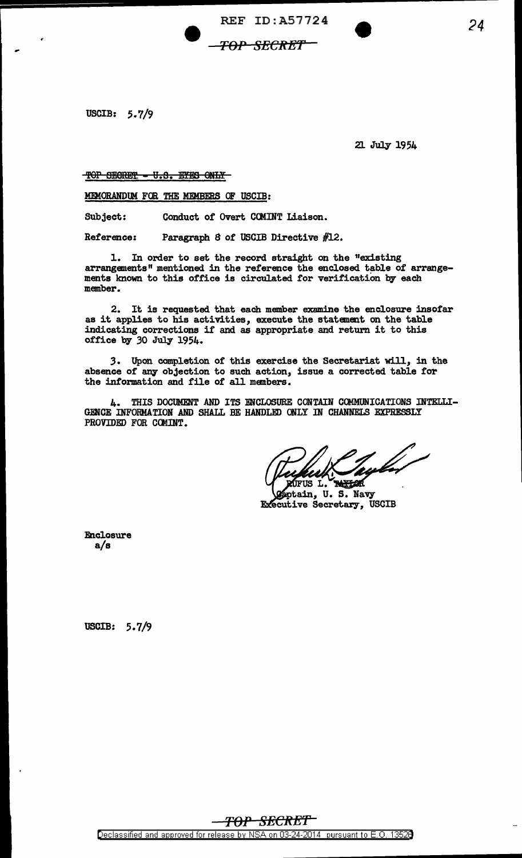REF ID:A57724

## TOP SECRET''

USCIB: 5.7/9

-

21 July 1954

*24* 

TOP SECRET - U.S. EYES ONLY

MEMORANDUM FOR THE MEMBERS OF USCIB:

Subject: Conduct of Overt COMINT Liaison.

Reference: Paragraph 8 of USCIB Directive #12.

1. In order to set the record straight on the "existing arrangements" mentioned in the reference the enclosed table of arrangements known to this office is circulated for verification by each member.

2. It is requested that each member examine the enclosure insofar as it applies to his activities, execute the statement on the table indicating corrections if and as appropriate and return it to this office by 30 July 1954.

*3.* Upon completion of this exercise the Secretariat will, in the absence of any objection to such action, issue a corrected table tor the information and file of all members.

4. THIS DOCUMENT AND ITS ENCLOSURE CONTAIN COMMUNICATIONS INTELLI-GENCE INFORMATION AND SHALL BE HANDLED ONLY IN CHANNELS EXPRESSLY PROVIDED FOR COMINT.

JFUS L. **TANTOR** 

**S**ptain, U.S. Navy Executive Secretary, USCIB

Enclosure a/s

USCIB: 5. 7/9